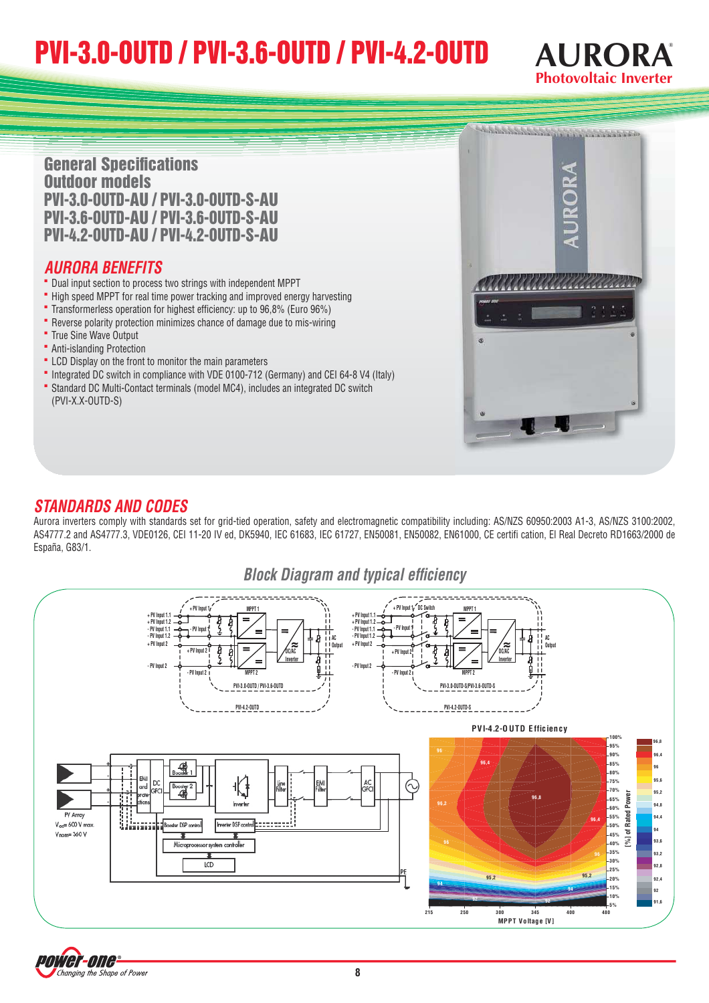# PVI-3.0-OUTD / PVI-3.6-OUTD / PVI-4.2-OUTD



**General Specifications** Outdoor models PVI-3.0-OUTD-AU / PVI-3.0-OUTD-S-AU PVI-3.6-OUTD-AU / PVI-3.6-OUTD-S-AU PVI-4.2-OUTD-AU / PVI-4.2-OUTD-S-AU

## **AURORA BENEFITS**

- **HUKUKA BENEFITS**<br>• Dual input section to process two strings with independent MPPT
- Dual input section to process two strings with independent MPPT<br>• High speed MPPT for real time power tracking and improved energy harvesting " High speed MPPT for real time power tracking and improved energy harve<br>" Transformerless operation for highest efficiency: up to 96,8% (Euro 96%)
- Transformerless operation for highest efficiency: up to 96,8% (Euro 96%)<br>**•** Reverse polarity protection minimizes chance of damage due to mis-wiring
- **Reverse polarity proted**<br>**P** True Sine Wave Output
- **T**rue Sine Wave Output<br>**-** Anti-islanding Protection
- 
- **•** Anti-islanding Protection<br>• LCD Display on the front to monitor the main parameters
- LCD Display on the front to monitor the main parameters<br>• Integrated DC switch in compliance with VDE 0100-712 (Germany) and CEI 64-8 V4 (Italy) " Integrated DC switch in compliance with VDE 0100-712 (Germany) and CEI 64-8 V4<br>" Standard DC Multi-Contact terminals (model MC4), includes an integrated DC switch (PVI-X.X-OUTD-S)



### **STANDARDS AND CODES**

Aurora inverters comply with standards set for grid-tied operation, safety and electromagnetic compatibility including: AS/NZS 60950:2003 A1-3, AS/NZS 3100:2002, AS4777.2 and AS4777.3, VDE0126, CEI 11-20 IV ed, DK5940, IEC 61683, IEC 61727, EN50081, EN50082, EN61000, CE certifi cation, El Real Decreto RD1663/2000 de España, G83/1.

## **Block Diagram and typical efficiency**